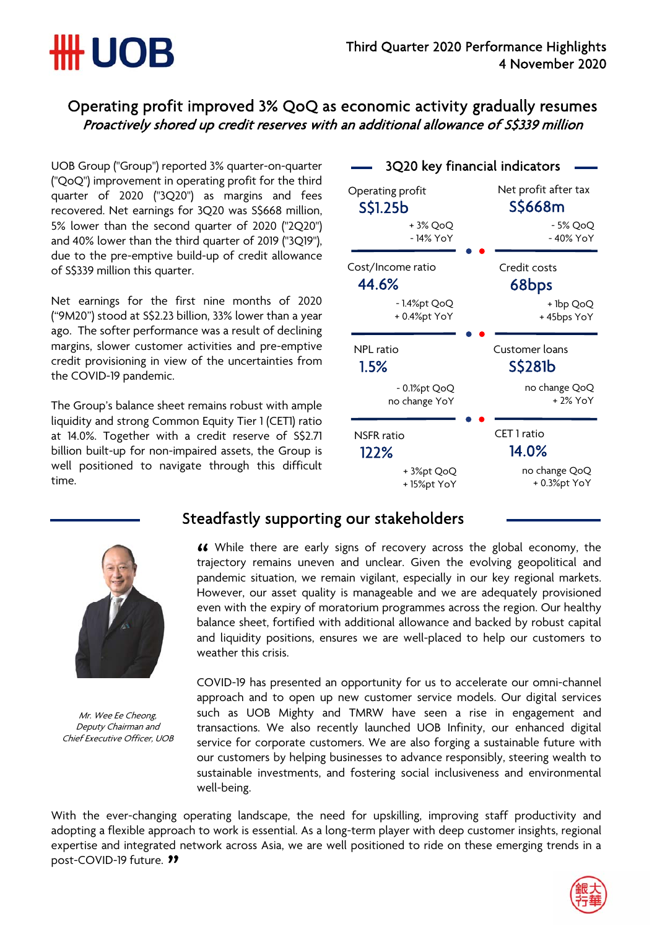## Operating profit improved 3% QoQ as economic activity gradually resumes Proactively shored up credit reserves with an additional allowance of S\$339 million

UOB Group ("Group") reported 3% quarter-on-quarter ("QoQ") improvement in operating profit for the third quarter of 2020 ("3Q20") as margins and fees recovered. Net earnings for 3Q20 was S\$668 million, 5% lower than the second quarter of 2020 ("2Q20") and 40% lower than the third quarter of 2019 ("3Q19"), due to the pre-emptive build-up of credit allowance of S\$339 million this quarter.

**\HH UOB** 

Net earnings for the first nine months of 2020 ("9M20") stood at S\$2.23 billion, 33% lower than a year ago. The softer performance was a result of declining margins, slower customer activities and pre-emptive credit provisioning in view of the uncertainties from the COVID-19 pandemic.

The Group's balance sheet remains robust with ample liquidity and strong Common Equity Tier 1 (CET1) ratio at 14.0%. Together with a credit reserve of S\$2.71 billion built-up for non-impaired assets, the Group is well positioned to navigate through this difficult time.





Mr. Wee Ee Cheong, Deputy Chairman and Chief Executive Officer, UOB

## Steadfastly supporting our stakeholders

While there are early signs of recovery across the global economy, the " trajectory remains uneven and unclear. Given the evolving geopolitical and pandemic situation, we remain vigilant, especially in our key regional markets. However, our asset quality is manageable and we are adequately provisioned even with the expiry of moratorium programmes across the region. Our healthy balance sheet, fortified with additional allowance and backed by robust capital and liquidity positions, ensures we are well-placed to help our customers to weather this crisis.

COVID-19 has presented an opportunity for us to accelerate our omni-channel approach and to open up new customer service models. Our digital services such as UOB Mighty and TMRW have seen a rise in engagement and transactions. We also recently launched UOB Infinity, our enhanced digital service for corporate customers. We are also forging a sustainable future with our customers by helping businesses to advance responsibly, steering wealth to sustainable investments, and fostering social inclusiveness and environmental well-being.

post-COVID-19 future. <sup>11</sup> With the ever-changing operating landscape, the need for upskilling, improving staff productivity and adopting a flexible approach to work is essential. As a long-term player with deep customer insights, regional expertise and integrated network across Asia, we are well positioned to ride on these emerging trends in a

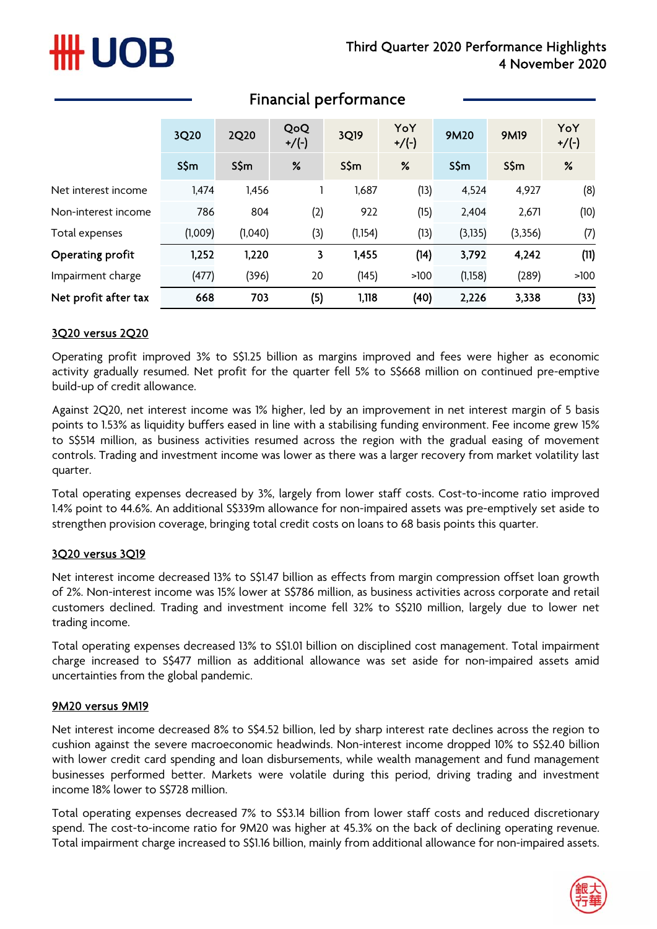# #H UOB

|                      | 3Q20    | 2Q20    | QoQ<br>$+/(-)$ | 3Q19     | YoY<br>$+/(-)$ | <b>9M20</b> | <b>9M19</b> | YoY<br>$+/(-)$ |
|----------------------|---------|---------|----------------|----------|----------------|-------------|-------------|----------------|
|                      | S\$m    | $S\sin$ | %              | S\$m     | %              | $S\$ m      | S\$m        | %              |
| Net interest income  | 1,474   | 1,456   |                | 1,687    | (13)           | 4,524       | 4,927       | (8)            |
| Non-interest income  | 786     | 804     | (2)            | 922      | (15)           | 2,404       | 2,671       | (10)           |
| Total expenses       | (1,009) | (1,040) | (3)            | (1, 154) | (13)           | (3, 135)    | (3,356)     | (7)            |
| Operating profit     | 1,252   | 1,220   | 3              | 1,455    | (14)           | 3,792       | 4,242       | (11)           |
| Impairment charge    | (477)   | (396)   | 20             | (145)    | >100           | (1,158)     | (289)       | >100           |
| Net profit after tax | 668     | 703     | (5)            | 1,118    | (40)           | 2,226       | 3,338       | (33)           |

## Financial performance

### 3Q20 versus 2Q20

Operating profit improved 3% to S\$1.25 billion as margins improved and fees were higher as economic activity gradually resumed. Net profit for the quarter fell 5% to S\$668 million on continued pre-emptive build-up of credit allowance.

Against 2Q20, net interest income was 1% higher, led by an improvement in net interest margin of 5 basis points to 1.53% as liquidity buffers eased in line with a stabilising funding environment. Fee income grew 15% to S\$514 million, as business activities resumed across the region with the gradual easing of movement controls. Trading and investment income was lower as there was a larger recovery from market volatility last quarter.

Total operating expenses decreased by 3%, largely from lower staff costs. Cost-to-income ratio improved 1.4% point to 44.6%. An additional S\$339m allowance for non-impaired assets was pre-emptively set aside to strengthen provision coverage, bringing total credit costs on loans to 68 basis points this quarter.

### 3Q20 versus 3Q19

Net interest income decreased 13% to S\$1.47 billion as effects from margin compression offset loan growth of 2%. Non-interest income was 15% lower at S\$786 million, as business activities across corporate and retail customers declined. Trading and investment income fell 32% to S\$210 million, largely due to lower net trading income.

Total operating expenses decreased 13% to S\$1.01 billion on disciplined cost management. Total impairment charge increased to S\$477 million as additional allowance was set aside for non-impaired assets amid uncertainties from the global pandemic.

### 9M20 versus 9M19

Net interest income decreased 8% to S\$4.52 billion, led by sharp interest rate declines across the region to cushion against the severe macroeconomic headwinds. Non-interest income dropped 10% to S\$2.40 billion with lower credit card spending and loan disbursements, while wealth management and fund management businesses performed better. Markets were volatile during this period, driving trading and investment income 18% lower to S\$728 million.

Total operating expenses decreased 7% to S\$3.14 billion from lower staff costs and reduced discretionary spend. The cost-to-income ratio for 9M20 was higher at 45.3% on the back of declining operating revenue. Total impairment charge increased to S\$1.16 billion, mainly from additional allowance for non-impaired assets.

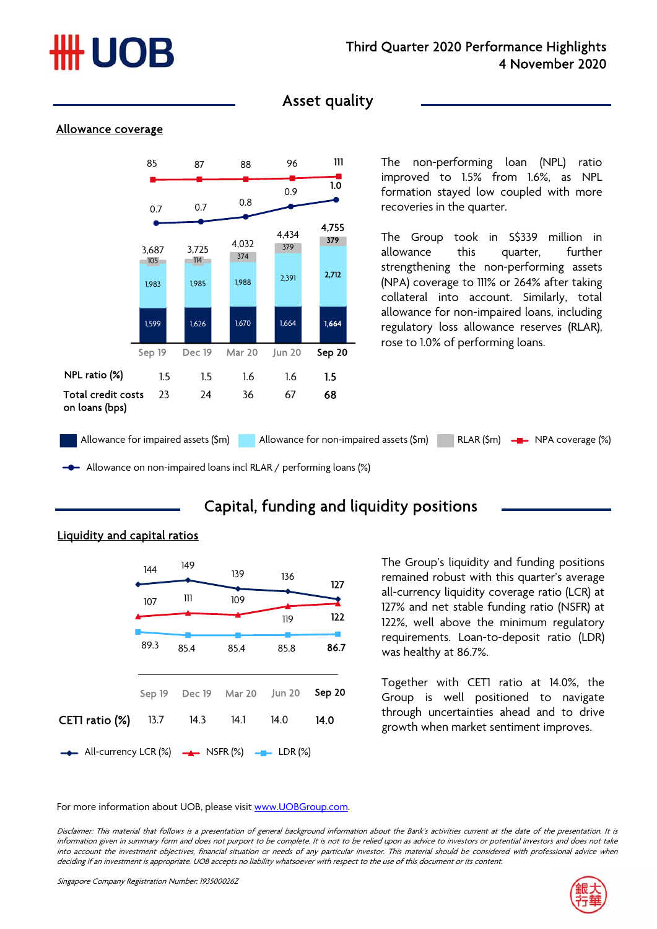# ## UOB

### Asset quality

#### Allowance coverage



The non-performing loan (NPL) ratio improved to 1.5% from 1.6%, as NPL formation stayed low coupled with more recoveries in the quarter.

The Group took in S\$339 million in allowance this quarter, further strengthening the non-performing assets (NPA) coverage to 111% or 264% after taking collateral into account. Similarly, total allowance for non-impaired loans, including regulatory loss allowance reserves (RLAR), rose to 1.0% of performing loans.

Allowance on non-impaired loans incl RLAR / performing loans (%)

# Capital, funding and liquidity positions



### Liquidity and capital ratios

The Group's liquidity and funding positions remained robust with this quarter's average all-currency liquidity coverage ratio (LCR) at 127% and net stable funding ratio (NSFR) at 122%, well above the minimum regulatory requirements. Loan-to-deposit ratio (LDR) was healthy at 86.7%.

Together with CET1 ratio at 14.0%, the Group is well positioned to navigate through uncertainties ahead and to drive growth when market sentiment improves.

For more information about UOB, please visit www.UOBGroup.com.

Disclaimer: This material that follows is <sup>a</sup> presentation of general background information about the Bank's activities current at the date of the presentation. It is information given in summary form and does not purport to be complete. It is not to be relied upon as advice to investors or potential investors and does not take into account the investment objectives, financial situation or needs of any particular investor. This material should be considered with professional advice when deciding if an investment is appropriate. UOB accepts no liability whatsoever with respect to the use of this document or its content.